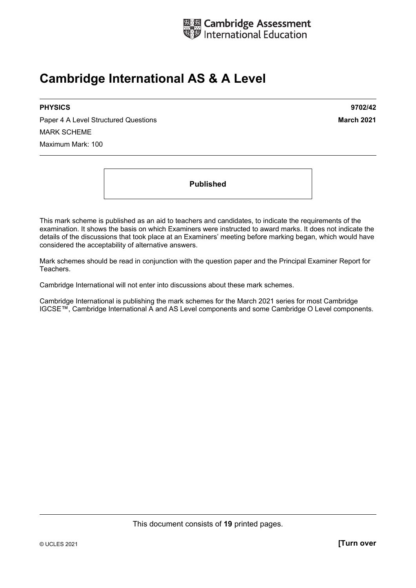

# **Cambridge International AS & A Level**

Paper 4 A Level Structured Questions **March 2021** MARK SCHEME Maximum Mark: 100

**PHYSICS 9702/42** 

**Published** 

This mark scheme is published as an aid to teachers and candidates, to indicate the requirements of the examination. It shows the basis on which Examiners were instructed to award marks. It does not indicate the details of the discussions that took place at an Examiners' meeting before marking began, which would have considered the acceptability of alternative answers.

Mark schemes should be read in conjunction with the question paper and the Principal Examiner Report for Teachers.

Cambridge International will not enter into discussions about these mark schemes.

Cambridge International is publishing the mark schemes for the March 2021 series for most Cambridge IGCSE™, Cambridge International A and AS Level components and some Cambridge O Level components.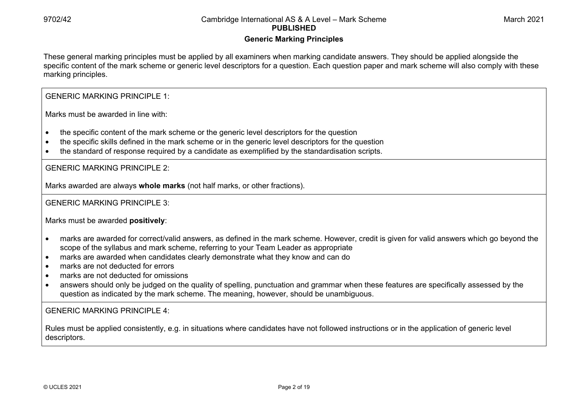#### **Generic Marking Principles**

These general marking principles must be applied by all examiners when marking candidate answers. They should be applied alongside the specific content of the mark scheme or generic level descriptors for a question. Each question paper and mark scheme will also comply with these marking principles.

GENERIC MARKING PRINCIPLE 1:

Marks must be awarded in line with:

- the specific content of the mark scheme or the generic level descriptors for the question
- the specific skills defined in the mark scheme or in the generic level descriptors for the question
- the standard of response required by a candidate as exemplified by the standardisation scripts.

GENERIC MARKING PRINCIPLE 2:

Marks awarded are always **whole marks** (not half marks, or other fractions).

GENERIC MARKING PRINCIPLE 3:

Marks must be awarded **positively**:

- marks are awarded for correct/valid answers, as defined in the mark scheme. However, credit is given for valid answers which go beyond the scope of the syllabus and mark scheme, referring to your Team Leader as appropriate
- marks are awarded when candidates clearly demonstrate what they know and can do
- marks are not deducted for errors
- marks are not deducted for omissions
- answers should only be judged on the quality of spelling, punctuation and grammar when these features are specifically assessed by the question as indicated by the mark scheme. The meaning, however, should be unambiguous.

GENERIC MARKING PRINCIPLE  $4<sup>T</sup>$ 

Rules must be applied consistently, e.g. in situations where candidates have not followed instructions or in the application of generic level descriptors.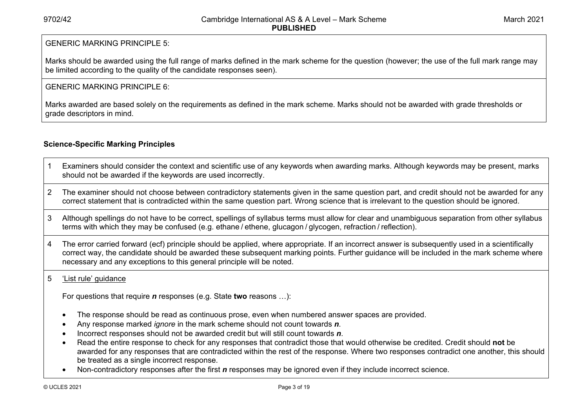#### GENERIC MARKING PRINCIPLE 5:

Marks should be awarded using the full range of marks defined in the mark scheme for the question (however; the use of the full mark range may be limited according to the quality of the candidate responses seen).

#### GENERIC MARKING PRINCIPLE 6:

Marks awarded are based solely on the requirements as defined in the mark scheme. Marks should not be awarded with grade thresholds or grade descriptors in mind.

### **Science-Specific Marking Principles**

- 1 Examiners should consider the context and scientific use of any keywords when awarding marks. Although keywords may be present, marks should not be awarded if the keywords are used incorrectly.
- 2 The examiner should not choose between contradictory statements given in the same question part, and credit should not be awarded for any correct statement that is contradicted within the same question part. Wrong science that is irrelevant to the question should be ignored.
- 3 Although spellings do not have to be correct, spellings of syllabus terms must allow for clear and unambiguous separation from other syllabus terms with which they may be confused (e.g. ethane / ethene, glucagon / glycogen, refraction / reflection).
- 4 The error carried forward (ecf) principle should be applied, where appropriate. If an incorrect answer is subsequently used in a scientifically correct way, the candidate should be awarded these subsequent marking points. Further guidance will be included in the mark scheme where necessary and any exceptions to this general principle will be noted.

#### 5 'List rule' guidance

For questions that require *<sup>n</sup>* responses (e.g. State **two** reasons …):

- The response should be read as continuous prose, even when numbered answer spaces are provided.
- Any response marked *ignore* in the mark scheme should not count towards *n*.
- Incorrect responses should not be awarded credit but will still count towards *n*.
- Read the entire response to check for any responses that contradict those that would otherwise be credited. Credit should **not** be awarded for any responses that are contradicted within the rest of the response. Where two responses contradict one another, this should be treated as a single incorrect response.
- Non-contradictory responses after the first *n* responses may be ignored even if they include incorrect science.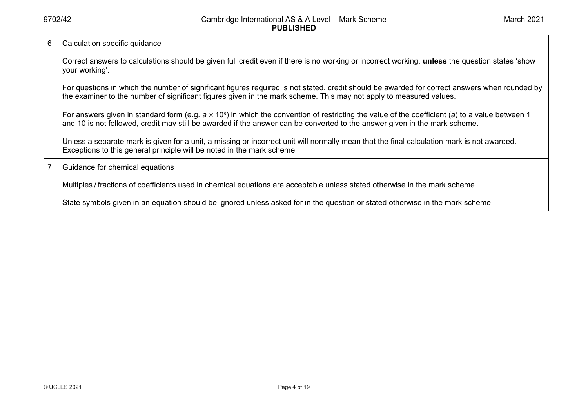#### 6 Calculation specific guidance

Correct answers to calculations should be given full credit even if there is no working or incorrect working, **unless** the question states 'show your working'.

For questions in which the number of significant figures required is not stated, credit should be awarded for correct answers when rounded by the examiner to the number of significant figures given in the mark scheme. This may not apply to measured values.

For answers given in standard form (e.g. *a* × 10<sup>*n*</sup>) in which the convention of restricting the value of the coefficient (*a*) to a value between 1 and 10 is not followed, credit may still be awarded if the answer can be converted to the answer given in the mark scheme.

Unless a separate mark is given for a unit, a missing or incorrect unit will normally mean that the final calculation mark is not awarded. Exceptions to this general principle will be noted in the mark scheme.

#### 7 Guidance for chemical equations

Multiples / fractions of coefficients used in chemical equations are acceptable unless stated otherwise in the mark scheme.

State symbols given in an equation should be ignored unless asked for in the question or stated otherwise in the mark scheme.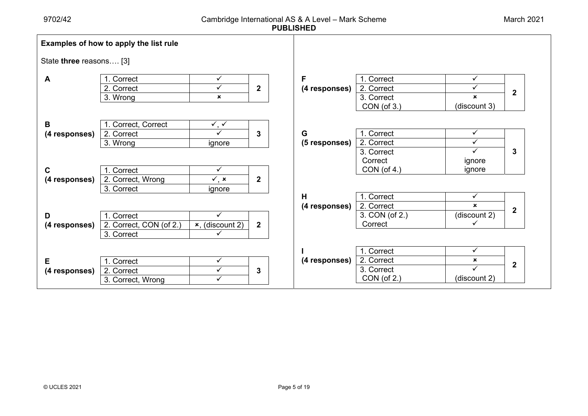|                         | Examples of how to apply the list rule              |                                                           |                  |                    |                                                       |                                                           |                  |
|-------------------------|-----------------------------------------------------|-----------------------------------------------------------|------------------|--------------------|-------------------------------------------------------|-----------------------------------------------------------|------------------|
| State three reasons [3] |                                                     |                                                           |                  |                    |                                                       |                                                           |                  |
| A                       | 1. Correct<br>2. Correct<br>3. Wrong                | $\checkmark$<br>$\checkmark$<br>$\boldsymbol{\mathsf{x}}$ | $\mathbf 2$      | F<br>(4 responses) | 1. Correct<br>2. Correct<br>3. Correct<br>CON (of 3.) | $\checkmark$<br>✓<br>$\mathbf x$<br>(discount 3)          | $\mathbf 2$      |
| B<br>(4 responses)      | 1. Correct, Correct<br>2. Correct<br>3. Wrong       | $\checkmark$ , $\checkmark$<br>$\checkmark$<br>ignore     | 3                | G<br>(5 responses) | 1. Correct<br>2. Correct<br>3. Correct<br>Correct     | $\checkmark$<br>$\checkmark$<br>$\checkmark$<br>ignore    | 3                |
| C<br>(4 responses)      | 1. Correct<br>2. Correct, Wrong<br>3. Correct       | $\checkmark$<br>$\checkmark$ , x<br>ignore                | $\overline{2}$   | H                  | CON(of 4.)<br>1. Correct                              | ignore<br>$\checkmark$                                    |                  |
| D<br>(4 responses)      | 1. Correct<br>2. Correct, CON (of 2.)<br>3. Correct | $\checkmark$<br>$x$ , (discount 2)<br>$\checkmark$        | $\boldsymbol{2}$ | (4 responses)      | 2. Correct<br>3. CON (of 2.)<br>Correct               | $\boldsymbol{\mathsf{x}}$<br>(discount 2)<br>$\checkmark$ | $\overline{2}$   |
| Е<br>(4 responses)      | 1. Correct<br>2. Correct<br>3. Correct, Wrong       | $\checkmark$<br>$\checkmark$<br>✓                         | 3                | (4 responses)      | 1. Correct<br>2. Correct<br>3. Correct<br>CON (of 2.) | $\checkmark$<br>×<br>$\checkmark$<br>(discount 2)         | $\boldsymbol{2}$ |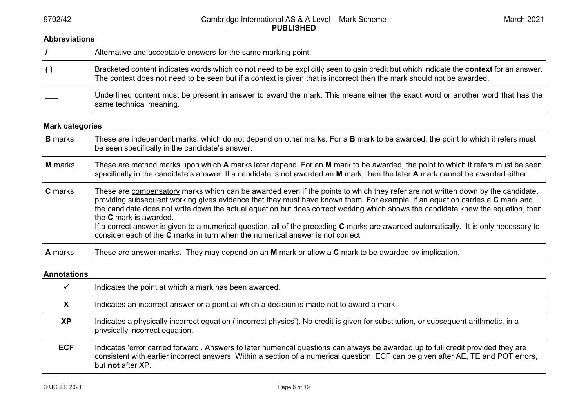#### **Abbreviations**

| Alternative and acceptable answers for the same marking point.                                                                                                                                                                                                  |
|-----------------------------------------------------------------------------------------------------------------------------------------------------------------------------------------------------------------------------------------------------------------|
| Bracketed content indicates words which do not need to be explicitly seen to gain credit but which indicate the context for an answer.<br>The context does not need to be seen but if a context is given that is incorrect then the mark should not be awarded. |
| Underlined content must be present in answer to award the mark. This means either the exact word or another word that has the<br>same technical meaning.                                                                                                        |

### **Mark categories**

| <b>B</b> marks | These are independent marks, which do not depend on other marks. For a B mark to be awarded, the point to which it refers must<br>be seen specifically in the candidate's answer.                                                                                                                                                                                                                                                                                                                                                                                                                                                                                      |
|----------------|------------------------------------------------------------------------------------------------------------------------------------------------------------------------------------------------------------------------------------------------------------------------------------------------------------------------------------------------------------------------------------------------------------------------------------------------------------------------------------------------------------------------------------------------------------------------------------------------------------------------------------------------------------------------|
| <b>M</b> marks | These are method marks upon which A marks later depend. For an M mark to be awarded, the point to which it refers must be seen<br>specifically in the candidate's answer. If a candidate is not awarded an M mark, then the later A mark cannot be awarded either.                                                                                                                                                                                                                                                                                                                                                                                                     |
| <b>C</b> marks | These are compensatory marks which can be awarded even if the points to which they refer are not written down by the candidate,<br>providing subsequent working gives evidence that they must have known them. For example, if an equation carries a C mark and<br>the candidate does not write down the actual equation but does correct working which shows the candidate knew the equation, then<br>the <b>C</b> mark is awarded.<br>If a correct answer is given to a numerical question, all of the preceding C marks are awarded automatically. It is only necessary to<br>consider each of the <b>C</b> marks in turn when the numerical answer is not correct. |
| <b>A</b> marks | These are answer marks. They may depend on an M mark or allow a C mark to be awarded by implication.                                                                                                                                                                                                                                                                                                                                                                                                                                                                                                                                                                   |

#### **Annotations**

|            | Indicates the point at which a mark has been awarded.                                                                                                                                                                                                                                        |
|------------|----------------------------------------------------------------------------------------------------------------------------------------------------------------------------------------------------------------------------------------------------------------------------------------------|
| X          | Indicates an incorrect answer or a point at which a decision is made not to award a mark.                                                                                                                                                                                                    |
| <b>XP</b>  | Indicates a physically incorrect equation ('incorrect physics'). No credit is given for substitution, or subsequent arithmetic, in a<br>physically incorrect equation.                                                                                                                       |
| <b>ECF</b> | Indicates 'error carried forward'. Answers to later numerical questions can always be awarded up to full credit provided they are<br>consistent with earlier incorrect answers. Within a section of a numerical question, ECF can be given after AE, TE and POT errors,<br>but not after XP. |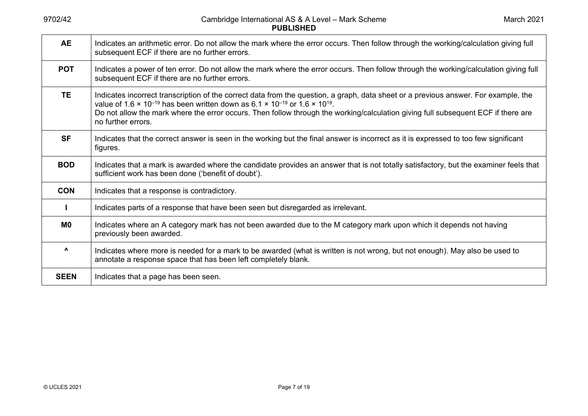| <b>AE</b>                       | Indicates an arithmetic error. Do not allow the mark where the error occurs. Then follow through the working/calculation giving full<br>subsequent ECF if there are no further errors.                                                                                                                                                                                                                                               |
|---------------------------------|--------------------------------------------------------------------------------------------------------------------------------------------------------------------------------------------------------------------------------------------------------------------------------------------------------------------------------------------------------------------------------------------------------------------------------------|
| <b>POT</b>                      | Indicates a power of ten error. Do not allow the mark where the error occurs. Then follow through the working/calculation giving full<br>subsequent ECF if there are no further errors.                                                                                                                                                                                                                                              |
| <b>TE</b>                       | Indicates incorrect transcription of the correct data from the question, a graph, data sheet or a previous answer. For example, the<br>value of 1.6 $\times$ 10 <sup>-19</sup> has been written down as 6.1 $\times$ 10 <sup>-19</sup> or 1.6 $\times$ 10 <sup>19</sup> .<br>Do not allow the mark where the error occurs. Then follow through the working/calculation giving full subsequent ECF if there are<br>no further errors. |
| <b>SF</b>                       | Indicates that the correct answer is seen in the working but the final answer is incorrect as it is expressed to too few significant<br>figures.                                                                                                                                                                                                                                                                                     |
| <b>BOD</b>                      | Indicates that a mark is awarded where the candidate provides an answer that is not totally satisfactory, but the examiner feels that<br>sufficient work has been done ('benefit of doubt').                                                                                                                                                                                                                                         |
| <b>CON</b>                      | Indicates that a response is contradictory.                                                                                                                                                                                                                                                                                                                                                                                          |
|                                 | Indicates parts of a response that have been seen but disregarded as irrelevant.                                                                                                                                                                                                                                                                                                                                                     |
| M <sub>0</sub>                  | Indicates where an A category mark has not been awarded due to the M category mark upon which it depends not having<br>previously been awarded.                                                                                                                                                                                                                                                                                      |
| $\boldsymbol{\mathsf{\Lambda}}$ | Indicates where more is needed for a mark to be awarded (what is written is not wrong, but not enough). May also be used to<br>annotate a response space that has been left completely blank.                                                                                                                                                                                                                                        |
| <b>SEEN</b>                     | Indicates that a page has been seen.                                                                                                                                                                                                                                                                                                                                                                                                 |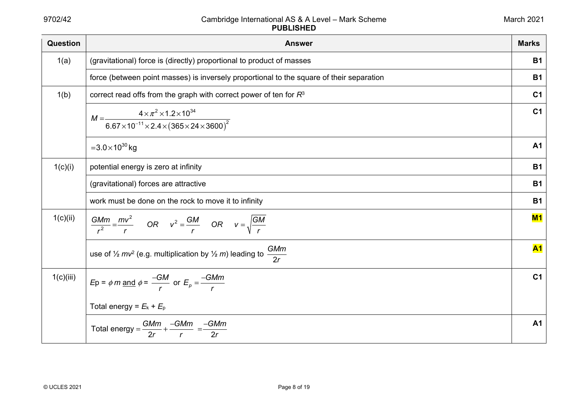| <b>Question</b> | <b>Answer</b>                                                                                                               | <b>Marks</b>   |
|-----------------|-----------------------------------------------------------------------------------------------------------------------------|----------------|
| 1(a)            | (gravitational) force is (directly) proportional to product of masses                                                       | <b>B1</b>      |
|                 | force (between point masses) is inversely proportional to the square of their separation                                    | <b>B1</b>      |
| 1(b)            | correct read offs from the graph with correct power of ten for $R3$                                                         | C <sub>1</sub> |
|                 | $M = \frac{4 \times \pi^2 \times 1.2 \times 10^{34}}{6.67 \times 10^{-11} \times 2.4 \times (365 \times 24 \times 3600)^2}$ | C <sub>1</sub> |
|                 | $=3.0\times10^{30}$ kg                                                                                                      | A <sub>1</sub> |
| 1(c)(i)         | potential energy is zero at infinity                                                                                        | <b>B1</b>      |
|                 | (gravitational) forces are attractive                                                                                       | <b>B1</b>      |
|                 | work must be done on the rock to move it to infinity                                                                        | <b>B1</b>      |
| 1(c)(ii)        | $\frac{GMm}{r^2} = \frac{mv^2}{r}$ OR $v^2 = \frac{GM}{r}$ OR $v = \sqrt{\frac{GM}{r}}$                                     | M1             |
|                 | <b>GMm</b><br>use of $\frac{1}{2}mv^2$ (e.g. multiplication by $\frac{1}{2}m$ ) leading to<br>2r                            | <b>A1</b>      |
| 1(c)(iii)       | $Ep = \phi m$ and $\phi = \frac{-GM}{r}$ or $E_p = \frac{-GMm}{r}$                                                          | C <sub>1</sub> |
|                 | Total energy = $E_k + E_p$                                                                                                  |                |
|                 | Total energy = $\frac{GMm}{2r}$ + $\frac{-GMm}{r}$ = $\frac{-GMm}{2r}$                                                      | A <sub>1</sub> |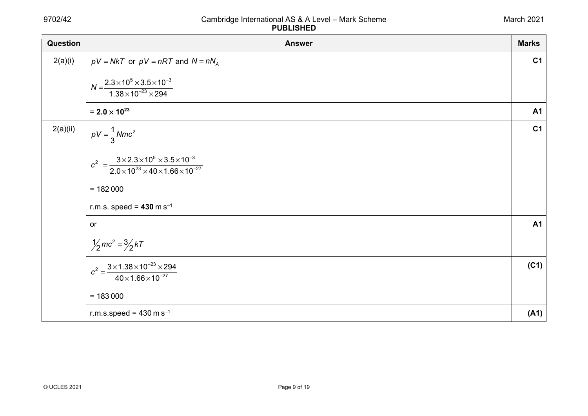| <b>Question</b> | <b>Answer</b>                                                                                                               | <b>Marks</b>   |
|-----------------|-----------------------------------------------------------------------------------------------------------------------------|----------------|
| 2(a)(i)         | $pV = NkT$ or $pV = nRT$ and $N = nN_A$                                                                                     | C <sub>1</sub> |
|                 | $N = \frac{2.3 \times 10^5 \times 3.5 \times 10^{-3}}{1.38 \times 10^{-23} \times 294}$                                     |                |
|                 | $= 2.0 \times 10^{23}$                                                                                                      | <b>A1</b>      |
| 2(a)(ii)        | $pV = \frac{1}{3}Nmc^2$                                                                                                     | C <sub>1</sub> |
|                 | $c^2 = \frac{3 \times 2.3 \times 10^5 \times 3.5 \times 10^{-3}}{2.0 \times 10^{23} \times 40 \times 1.66 \times 10^{-27}}$ |                |
|                 | $= 182000$                                                                                                                  |                |
|                 | r.m.s. speed = $430 \text{ m s}^{-1}$                                                                                       |                |
|                 | <b>or</b>                                                                                                                   | <b>A1</b>      |
|                 | $\frac{1}{2}mc^2 = \frac{3}{2}kT$                                                                                           |                |
|                 | $c^2 = \frac{3 \times 1.38 \times 10^{-23} \times 294}{40 \times 1.66 \times 10^{-27}}$                                     | (C1)           |
|                 |                                                                                                                             |                |
|                 | $= 183000$                                                                                                                  |                |
|                 | r.m.s.speed = $430 \text{ m s}^{-1}$                                                                                        | (A1)           |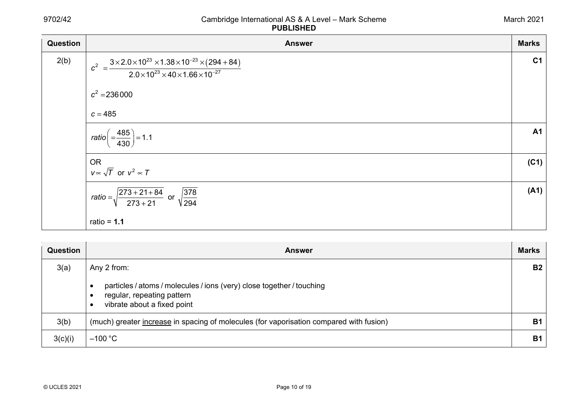| <b>Question</b> | <b>Answer</b>                                                                                                                                      | <b>Marks</b>   |
|-----------------|----------------------------------------------------------------------------------------------------------------------------------------------------|----------------|
| 2(b)            | $c^2 = \frac{3 \times 2.0 \times 10^{23} \times 1.38 \times 10^{-23} \times (294 + 84)}{2.0 \times 10^{23} \times 40 \times 1.66 \times 10^{-27}}$ | C <sub>1</sub> |
|                 | $c^2 = 236000$<br>$c = 485$                                                                                                                        |                |
|                 | $ratio\left( = \frac{485}{430} \right) = 1.1$                                                                                                      | A <sub>1</sub> |
|                 | <b>OR</b><br>$v \propto \sqrt{T}$ or $v^2 \propto T$                                                                                               | (C1)           |
|                 | ratio = $\sqrt{\frac{273 + 21 + 84}{273 + 21}}$ or $\sqrt{\frac{378}{294}}$                                                                        | (A1)           |
|                 | ratio = $1.1$                                                                                                                                      |                |

| Question | <b>Answer</b>                                                                                                                                                             | <b>Marks</b> |
|----------|---------------------------------------------------------------------------------------------------------------------------------------------------------------------------|--------------|
| 3(a)     | Any 2 from:                                                                                                                                                               | <b>B2</b>    |
|          | particles / atoms / molecules / ions (very) close together / touching<br>$\bullet$<br>regular, repeating pattern<br>$\bullet$<br>vibrate about a fixed point<br>$\bullet$ |              |
| 3(b)     | (much) greater increase in spacing of molecules (for vaporisation compared with fusion)                                                                                   | <b>B1</b>    |
| 3(c)(i)  | $-100 °C$                                                                                                                                                                 | <b>B1</b>    |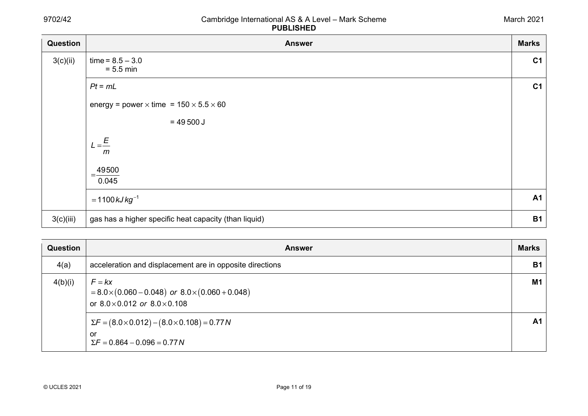| Question  | <b>Answer</b>                                               | <b>Marks</b>   |
|-----------|-------------------------------------------------------------|----------------|
| 3(c)(ii)  | $time = 8.5 - 3.0$<br>$= 5.5$ min                           | C <sub>1</sub> |
|           | $Pt = mL$                                                   | C <sub>1</sub> |
|           | energy = power $\times$ time = 150 $\times$ 5.5 $\times$ 60 |                |
|           | $= 49500$ J                                                 |                |
|           | $L = \frac{E}{A}$<br>m                                      |                |
|           | 49500<br>=<br>0.045                                         |                |
|           | $= 1100 kJ kg^{-1}$                                         | <b>A1</b>      |
| 3(c)(iii) | gas has a higher specific heat capacity (than liquid)       | <b>B1</b>      |

| Question | <b>Answer</b>                                                                                                             | <b>Marks</b>   |
|----------|---------------------------------------------------------------------------------------------------------------------------|----------------|
| 4(a)     | acceleration and displacement are in opposite directions                                                                  | <b>B1</b>      |
| 4(b)(i)  | $F = kx$<br>$= 8.0 \times (0.060 - 0.048)$ or $8.0 \times (0.060 + 0.048)$<br>or $8.0 \times 0.012$ or $8.0 \times 0.108$ | M <sub>1</sub> |
|          | $\Sigma F = (8.0 \times 0.012) - (8.0 \times 0.108) = 0.77 N$<br>or<br>$\Sigma F = 0.864 - 0.096 = 0.77 N$                | A <sub>1</sub> |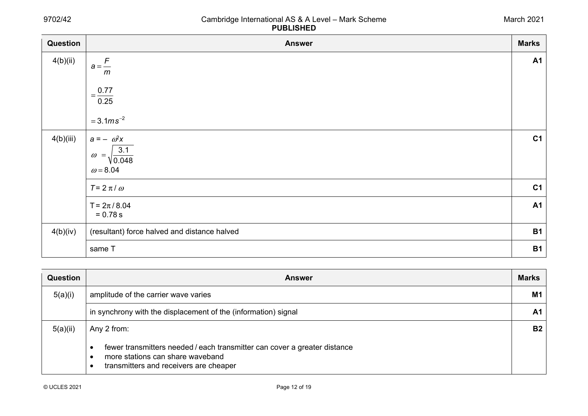| Question  | <b>Answer</b>                                | <b>Marks</b>   |
|-----------|----------------------------------------------|----------------|
| 4(b)(ii)  | $a = \frac{F}{A}$<br>m                       | <b>A1</b>      |
|           | $=\frac{0.77}{0.25}$                         |                |
|           | $=3.1ms^{-2}$                                |                |
| 4(b)(iii) | $a = -\omega^2 x$                            | C <sub>1</sub> |
|           | 3.1<br>$\omega = \sqrt{\frac{0.048}{}}$      |                |
|           | $\omega$ = 8.04                              |                |
|           | $T = 2 \pi / \omega$                         | C <sub>1</sub> |
|           | $T = 2\pi/8.04$<br>$= 0.78 s$                | <b>A1</b>      |
| 4(b)(iv)  | (resultant) force halved and distance halved | <b>B1</b>      |
|           | same T                                       | <b>B1</b>      |

| <b>Question</b> | <b>Answer</b>                                                                                                                                           | <b>Marks</b>   |
|-----------------|---------------------------------------------------------------------------------------------------------------------------------------------------------|----------------|
| 5(a)(i)         | amplitude of the carrier wave varies                                                                                                                    | M <sub>1</sub> |
|                 | in synchrony with the displacement of the (information) signal                                                                                          | A <sub>1</sub> |
| 5(a)(ii)        | Any 2 from:                                                                                                                                             | B <sub>2</sub> |
|                 | fewer transmitters needed / each transmitter can cover a greater distance<br>more stations can share waveband<br>transmitters and receivers are cheaper |                |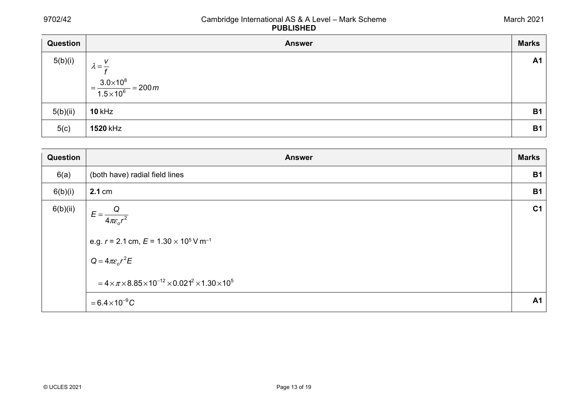| Question | <b>Answer</b>                                 | <b>Marks</b> |
|----------|-----------------------------------------------|--------------|
| 5(b)(i)  | V<br>$\lambda = -$                            | <b>A1</b>    |
|          |                                               |              |
|          | $=\frac{3.0\times10^8}{1.5\times10^6}=200\,m$ |              |
| 5(b)(ii) | <b>10 kHz</b>                                 | <b>B1</b>    |
| 5(c)     | <b>1520 kHz</b>                               | <b>B1</b>    |

| Question | <b>Answer</b>                                                                                                                                                                                                               | <b>Marks</b>   |
|----------|-----------------------------------------------------------------------------------------------------------------------------------------------------------------------------------------------------------------------------|----------------|
| 6(a)     | (both have) radial field lines                                                                                                                                                                                              | <b>B1</b>      |
| 6(b)(i)  | 2.1 cm                                                                                                                                                                                                                      | <b>B1</b>      |
| 6(b)(ii) | $E = \frac{Q}{4\pi \epsilon_0 r^2}$<br>e.g. $r = 2.1$ cm, $E = 1.30 \times 10^5$ V m <sup>-1</sup><br>$Q = 4\pi \varepsilon_o r^2 E$<br>$= 4 \times \pi \times 8.85 \times 10^{-12} \times 0.021^2 \times 1.30 \times 10^5$ | C <sub>1</sub> |
|          | $= 6.4 \times 10^{-9} C$                                                                                                                                                                                                    | <b>A1</b>      |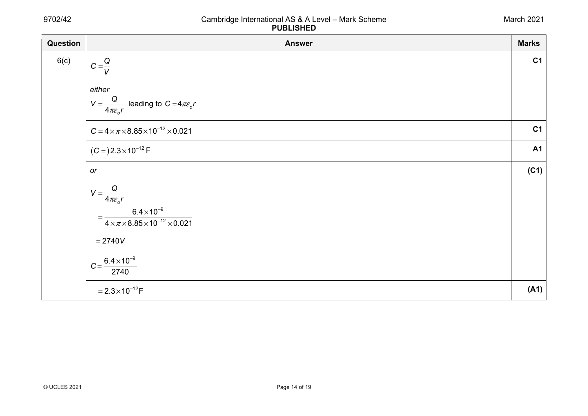| Question | <b>Answer</b>                                                             | <b>Marks</b>   |
|----------|---------------------------------------------------------------------------|----------------|
| 6(c)     | $C = \frac{Q}{V}$                                                         | C <sub>1</sub> |
|          | either                                                                    |                |
|          | $V = \frac{Q}{4\pi\varepsilon_o r}$ leading to $C = 4\pi\varepsilon_o r$  |                |
|          | $C = 4 \times \pi \times 8.85 \times 10^{-12} \times 0.021$               | C <sub>1</sub> |
|          | $(C=)2.3\times10^{-12}$ F                                                 | <b>A1</b>      |
|          | or                                                                        | (C1)           |
|          | $V = \frac{Q}{4\pi\varepsilon_o r}$                                       |                |
|          | $=\frac{6.4\times10^{-9}}{4\times\pi\times8.85\times10^{-12}\times0.021}$ |                |
|          | $= 2740V$                                                                 |                |
|          | $C = \frac{6.4 \times 10^{-9}}{2740}$                                     |                |
|          | $=2.3\times10^{-12}F$                                                     | (A1)           |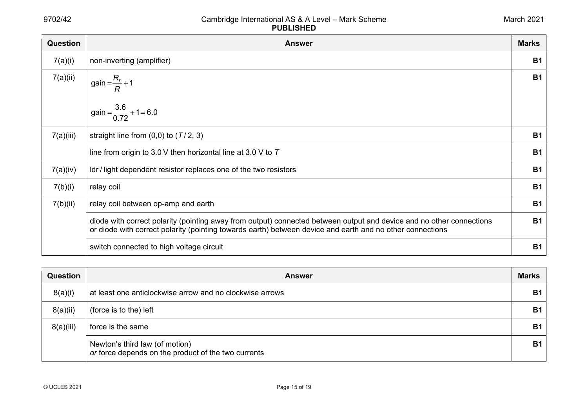| Question  | <b>Answer</b>                                                                                                                                                                                                                     | <b>Marks</b> |
|-----------|-----------------------------------------------------------------------------------------------------------------------------------------------------------------------------------------------------------------------------------|--------------|
| 7(a)(i)   | non-inverting (amplifier)                                                                                                                                                                                                         | <b>B1</b>    |
| 7(a)(ii)  | gain = $\frac{R_f}{R}$ + 1<br>gain = $\frac{3.6}{0.72}$ + 1 = 6.0                                                                                                                                                                 | <b>B1</b>    |
|           |                                                                                                                                                                                                                                   |              |
| 7(a)(iii) | straight line from $(0,0)$ to $(T/2, 3)$                                                                                                                                                                                          | <b>B1</b>    |
|           | line from origin to 3.0 V then horizontal line at 3.0 V to $T$                                                                                                                                                                    | <b>B1</b>    |
| 7(a)(iv)  | Idr / light dependent resistor replaces one of the two resistors                                                                                                                                                                  | <b>B1</b>    |
| 7(b)(i)   | relay coil                                                                                                                                                                                                                        | <b>B1</b>    |
| 7(b)(ii)  | relay coil between op-amp and earth                                                                                                                                                                                               | <b>B1</b>    |
|           | diode with correct polarity (pointing away from output) connected between output and device and no other connections<br>or diode with correct polarity (pointing towards earth) between device and earth and no other connections | <b>B1</b>    |
|           | switch connected to high voltage circuit                                                                                                                                                                                          | <b>B1</b>    |

| <b>Question</b> | <b>Answer</b>                                                                         | <b>Marks</b> |
|-----------------|---------------------------------------------------------------------------------------|--------------|
| 8(a)(i)         | at least one anticlockwise arrow and no clockwise arrows                              | <b>B1</b>    |
| 8(a)(ii)        | (force is to the) left                                                                | <b>B1</b>    |
| 8(a)(iii)       | force is the same                                                                     | <b>B1</b>    |
|                 | Newton's third law (of motion)<br>or force depends on the product of the two currents | <b>B1</b>    |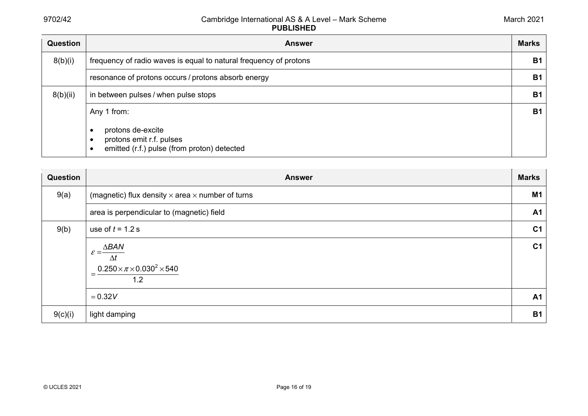| <b>Question</b> | <b>Answer</b>                                                                                                                         | <b>Marks</b> |
|-----------------|---------------------------------------------------------------------------------------------------------------------------------------|--------------|
| 8(b)(i)         | frequency of radio waves is equal to natural frequency of protons                                                                     | <b>B1</b>    |
|                 | resonance of protons occurs / protons absorb energy                                                                                   | <b>B1</b>    |
| 8(b)(ii)        | in between pulses / when pulse stops                                                                                                  | <b>B1</b>    |
|                 | Any 1 from:<br>protons de-excite<br>$\bullet$<br>protons emit r.f. pulses<br>$\bullet$<br>emitted (r.f.) pulse (from proton) detected | <b>B1</b>    |

| <b>Question</b> | <b>Answer</b>                                                        | <b>Marks</b>   |
|-----------------|----------------------------------------------------------------------|----------------|
| 9(a)            | (magnetic) flux density $\times$ area $\times$ number of turns       | <b>M1</b>      |
|                 | area is perpendicular to (magnetic) field                            | A <sub>1</sub> |
| 9(b)            | use of $t = 1.2$ s                                                   | C <sub>1</sub> |
|                 | $\mathcal{E} = \frac{\Delta BAN}{\Delta}$                            | C <sub>1</sub> |
|                 | $\Delta t$<br>$0.250\times\pi\times0.030^2\times540$<br>$= -$<br>1.2 |                |
|                 | $= 0.32V$                                                            | A1             |
| 9(c)(i)         | light damping                                                        | <b>B1</b>      |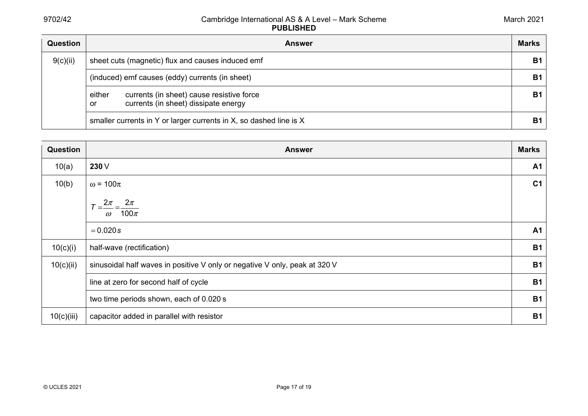| <b>Question</b> | <b>Answer</b>                                                                                     | <b>Marks</b> |
|-----------------|---------------------------------------------------------------------------------------------------|--------------|
| 9(c)(ii)        | sheet cuts (magnetic) flux and causes induced emf                                                 | <b>B1</b>    |
|                 | (induced) emf causes (eddy) currents (in sheet)                                                   | <b>B1</b>    |
|                 | currents (in sheet) cause resistive force<br>either<br>currents (in sheet) dissipate energy<br>or | <b>B1</b>    |
|                 | smaller currents in Y or larger currents in X, so dashed line is X                                | <b>B1</b>    |

| Question   | <b>Answer</b>                                                              | <b>Marks</b>   |
|------------|----------------------------------------------------------------------------|----------------|
| 10(a)      | 230 V                                                                      | A <sub>1</sub> |
| 10(b)      | $\omega$ = 100 $\pi$                                                       | C <sub>1</sub> |
|            | $2\pi$<br>$2\pi$<br>100 $\pi$<br>$\omega$                                  |                |
|            | $= 0.020s$                                                                 | A <sub>1</sub> |
| 10(c)(i)   | half-wave (rectification)                                                  | <b>B1</b>      |
| 10(c)(ii)  | sinusoidal half waves in positive V only or negative V only, peak at 320 V | <b>B1</b>      |
|            | line at zero for second half of cycle                                      | <b>B1</b>      |
|            | two time periods shown, each of 0.020 s                                    | <b>B1</b>      |
| 10(c)(iii) | capacitor added in parallel with resistor                                  | <b>B1</b>      |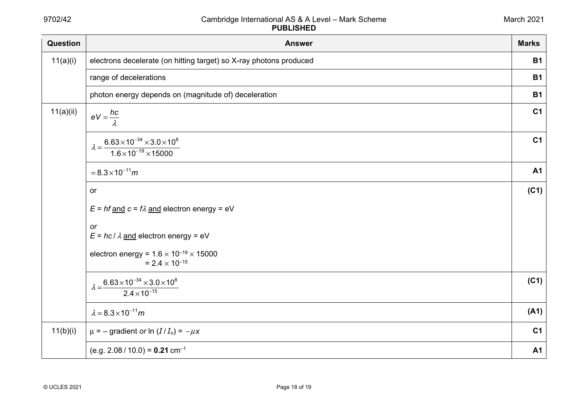| Question  | <b>Answer</b>                                                                                           | <b>Marks</b>   |
|-----------|---------------------------------------------------------------------------------------------------------|----------------|
| 11(a)(i)  | electrons decelerate (on hitting target) so X-ray photons produced                                      | <b>B1</b>      |
|           | range of decelerations                                                                                  | <b>B1</b>      |
|           | photon energy depends on (magnitude of) deceleration                                                    | <b>B1</b>      |
| 11(a)(ii) | $eV = \frac{hc}{\lambda}$                                                                               | C <sub>1</sub> |
|           | $\lambda = \frac{6.63 \times 10^{-34} \times 3.0 \times 10^8}{2}$<br>$1.6 \times 10^{-19} \times 15000$ | C <sub>1</sub> |
|           | $= 8.3 \times 10^{-11} m$                                                                               | <b>A1</b>      |
|           | or                                                                                                      | (C1)           |
|           | $E = hf$ and $c = f\lambda$ and electron energy = eV                                                    |                |
|           | or<br>$E = hc / \lambda$ and electron energy = eV                                                       |                |
|           | electron energy = $1.6 \times 10^{-19} \times 15000$<br>$= 2.4 \times 10^{-15}$                         |                |
|           | $\lambda = \frac{6.63 \times 10^{-34} \times 3.0 \times 10^8}{2}$<br>$2.4 \times 10^{-15}$              | (C1)           |
|           | $\lambda = 8.3 \times 10^{-11} m$                                                                       | (A1)           |
| 11(b)(i)  | $\mu$ = – gradient or ln $(I/I_0)$ = $-\mu x$                                                           | C <sub>1</sub> |
|           | $(e.g. 2.08 / 10.0) = 0.21$ cm <sup>-1</sup>                                                            | <b>A1</b>      |